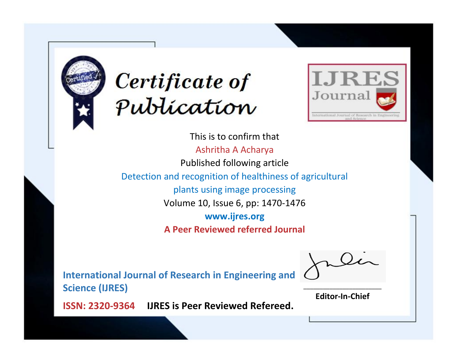



This is to confirm that Ashritha A Acharya Published following article Detection and recognition of healthiness of agricultural plants using image processing Volume 10, Issue 6, pp: 1470-1476 **www.ijres.org A Peer Reviewed referred Journal**

**International Journal of Research in Engineering and Science (IJRES)**

\_\_\_\_\_\_\_\_\_\_\_\_\_\_\_\_\_\_\_\_\_\_\_\_ **Editor-In-Chief**

**Journal.**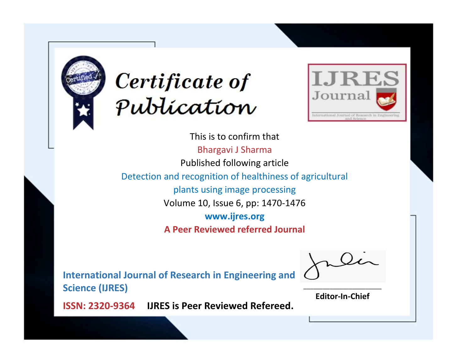



This is to confirm that Bhargavi J Sharma Published following article Detection and recognition of healthiness of agricultural plants using image processing Volume 10, Issue 6, pp: 1470-1476 **www.ijres.org A Peer Reviewed referred Journal**

**International Journal of Research in Engineering and Science (IJRES)**

\_\_\_\_\_\_\_\_\_\_\_\_\_\_\_\_\_\_\_\_\_\_\_\_ **Editor-In-Chief**

**Journal.**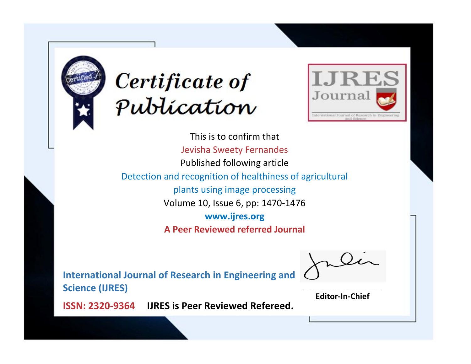



This is to confirm that Jevisha Sweety Fernandes Published following article Detection and recognition of healthiness of agricultural plants using image processing Volume 10, Issue 6, pp: 1470-1476 **www.ijres.org A Peer Reviewed referred Journal**

**International Journal of Research in Engineering and Science (IJRES)**

\_\_\_\_\_\_\_\_\_\_\_\_\_\_\_\_\_\_\_\_\_\_\_\_ **Editor-In-Chief**

**Journal.**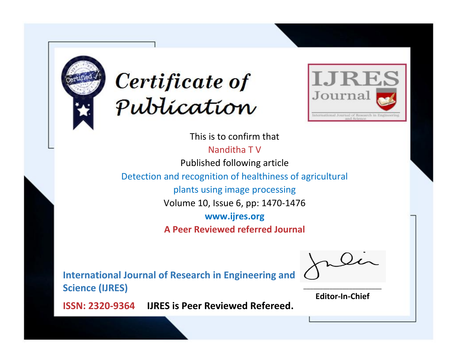



This is to confirm that Nanditha T V Published following article Detection and recognition of healthiness of agricultural plants using image processing Volume 10, Issue 6, pp: 1470-1476 **www.ijres.org A Peer Reviewed referred Journal**

**International Journal of Research in Engineering and Science (IJRES)**

\_\_\_\_\_\_\_\_\_\_\_\_\_\_\_\_\_\_\_\_\_\_\_\_ **Editor-In-Chief**

**Journal.**